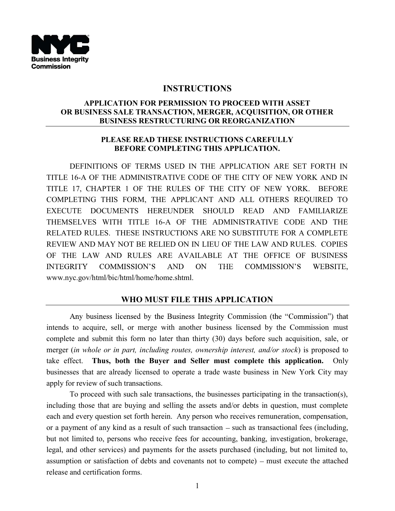

## **INSTRUCTIONS**

### **APPLICATION FOR PERMISSION TO PROCEED WITH ASSET OR BUSINESS SALE TRANSACTION, MERGER, ACQUISITION, OR OTHER BUSINESS RESTRUCTURING OR REORGANIZATION**

### **PLEASE READ THESE INSTRUCTIONS CAREFULLY BEFORE COMPLETING THIS APPLICATION.**

DEFINITIONS OF TERMS USED IN THE APPLICATION ARE SET FORTH IN TITLE 16-A OF THE ADMINISTRATIVE CODE OF THE CITY OF NEW YORK AND IN TITLE 17, CHAPTER 1 OF THE RULES OF THE CITY OF NEW YORK. BEFORE COMPLETING THIS FORM, THE APPLICANT AND ALL OTHERS REQUIRED TO EXECUTE DOCUMENTS HEREUNDER SHOULD READ AND FAMILIARIZE THEMSELVES WITH TITLE 16-A OF THE ADMINISTRATIVE CODE AND THE RELATED RULES. THESE INSTRUCTIONS ARE NO SUBSTITUTE FOR A COMPLETE REVIEW AND MAY NOT BE RELIED ON IN LIEU OF THE LAW AND RULES. COPIES OF THE LAW AND RULES ARE AVAILABLE AT THE OFFICE OF BUSINESS **INTEGRITY** COMMISSION'S **AND** ON **THE** COMMISSION'S WEBSITE, www.nyc.gov/html/bic/html/home/home.shtml.

# **WHO MUST FILE THIS APPLICATION**

Any business licensed by the Business Integrity Commission (the "Commission") that intends to acquire, sell, or merge with another business licensed by the Commission must complete and submit this form no later than thirty (30) days before such acquisition, sale, or merger (*in whole or in part, including routes, ownership interest, and/or stock*) is proposed to take effect. **Thus, both the Buyer and Seller must complete this application.** Only businesses that are already licensed to operate a trade waste business in New York City may apply for review of such transactions.

To proceed with such sale transactions, the businesses participating in the transaction(s), including those that are buying and selling the assets and/or debts in question, must complete each and every question set forth herein. Any person who receives remuneration, compensation, or a payment of any kind as a result of such transaction  $-$  such as transactional fees (including, but not limited to, persons who receive fees for accounting, banking, investigation, brokerage, legal, and other services) and payments for the assets purchased (including, but not limited to, assumption or satisfaction of debts and covenants not to compete) – must execute the attached release and certification forms.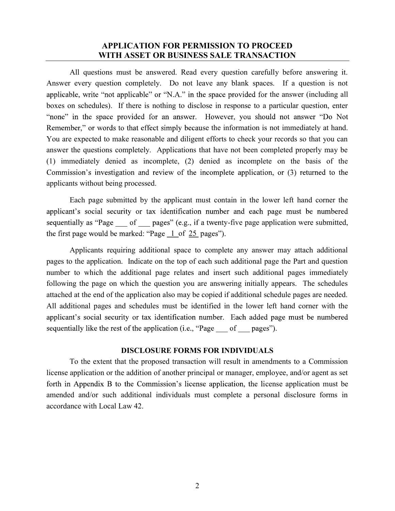### **APPLICATION FOR PERMISSION TO PROCEED WITH ASSET OR BUSINESS SALE TRANSACTION**

All questions must be answered. Read every question carefully before answering it. Answer every question completely. Do not leave any blank spaces. If a question is not applicable, write "not applicable" or "N.A." in the space provided for the answer (including all boxes on schedules). If there is nothing to disclose in response to a particular question, enter "none" in the space provided for an answer. However, you should not answer "Do Not Remember," or words to that effect simply because the information is not immediately at hand. You are expected to make reasonable and diligent efforts to check your records so that you can answer the questions completely. Applications that have not been completed properly may be (1) immediately denied as incomplete, (2) denied as incomplete on the basis of the Commission's investigation and review of the incomplete application, or (3) returned to the applicants without being processed.

Each page submitted by the applicant must contain in the lower left hand corner the applicant's social security or tax identification number and each page must be numbered sequentially as "Page of pages" (e.g., if a twenty-five page application were submitted, the first page would be marked: "Page  $\perp$  of 25 pages").

Applicants requiring additional space to complete any answer may attach additional pages to the application. Indicate on the top of each such additional page the Part and question number to which the additional page relates and insert such additional pages immediately following the page on which the question you are answering initially appears. The schedules attached at the end of the application also may be copied if additional schedule pages are needed. All additional pages and schedules must be identified in the lower left hand corner with the applicant's social security or tax identification number. Each added page must be numbered sequentially like the rest of the application (i.e., "Page of pages").

### **DISCLOSURE FORMS FOR INDIVIDUALS**

 To the extent that the proposed transaction will result in amendments to a Commission license application or the addition of another principal or manager, employee, and/or agent as set forth in Appendix B to the Commission's license application, the license application must be amended and/or such additional individuals must complete a personal disclosure forms in accordance with Local Law 42.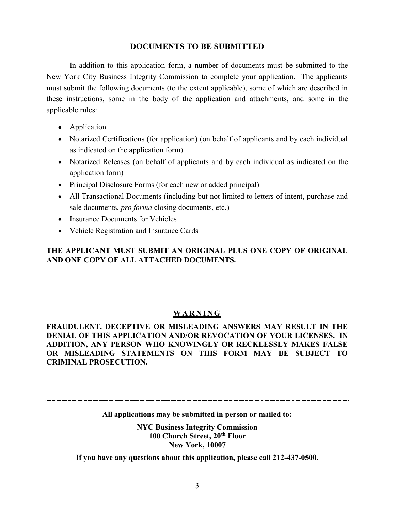## **DOCUMENTS TO BE SUBMITTED**

 In addition to this application form, a number of documents must be submitted to the New York City Business Integrity Commission to complete your application. The applicants must submit the following documents (to the extent applicable), some of which are described in these instructions, some in the body of the application and attachments, and some in the applicable rules:

- Application
- Notarized Certifications (for application) (on behalf of applicants and by each individual as indicated on the application form)
- Notarized Releases (on behalf of applicants and by each individual as indicated on the application form)
- Principal Disclosure Forms (for each new or added principal)
- All Transactional Documents (including but not limited to letters of intent, purchase and sale documents, *pro forma* closing documents, etc.)
- Insurance Documents for Vehicles
- Vehicle Registration and Insurance Cards

## **THE APPLICANT MUST SUBMIT AN ORIGINAL PLUS ONE COPY OF ORIGINAL AND ONE COPY OF ALL ATTACHED DOCUMENTS.**

## **WARNING**

**FRAUDULENT, DECEPTIVE OR MISLEADING ANSWERS MAY RESULT IN THE DENIAL OF THIS APPLICATION AND/OR REVOCATION OF YOUR LICENSES. IN ADDITION, ANY PERSON WHO KNOWINGLY OR RECKLESSLY MAKES FALSE OR MISLEADING STATEMENTS ON THIS FORM MAY BE SUBJECT TO CRIMINAL PROSECUTION.** 

**All applications may be submitted in person or mailed to:** 

**NYC Business Integrity Commission 100 Church Street, 20th Floor New York, 10007** 

**If you have any questions about this application, please call 212-437-0500.**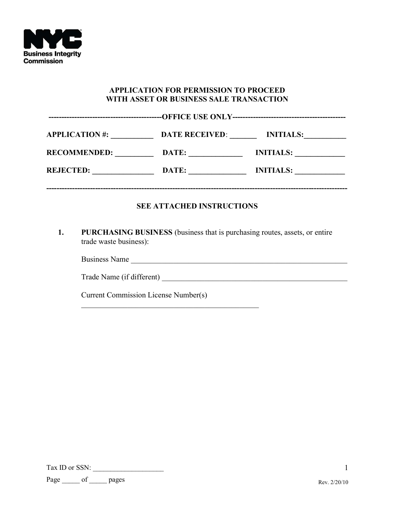

### **APPLICATION FOR PERMISSION TO PROCEED WITH ASSET OR BUSINESS SALE TRANSACTION**

| <b>APPLICATION#:</b> | <b>DATE RECEIVED:</b> | <b>INITIALS:</b> |
|----------------------|-----------------------|------------------|
| <b>RECOMMENDED:</b>  | DATE:                 | <b>INITIALS:</b> |
| <b>REJECTED:</b>     | DATE:                 | <b>INITIALS:</b> |
|                      |                       |                  |

## **SEE ATTACHED INSTRUCTIONS**

**1. PURCHASING BUSINESS** (business that is purchasing routes, assets, or entire trade waste business):

Business Name \_\_\_\_\_\_\_\_\_\_\_\_\_\_\_\_\_\_\_\_\_\_\_\_\_\_\_\_\_\_\_\_\_\_\_\_\_\_\_\_\_\_\_\_\_\_\_\_\_\_\_\_\_\_\_\_

Trade Name (if different) \_\_\_\_\_\_\_\_\_\_\_\_\_\_\_\_\_\_\_\_\_\_\_\_\_\_\_\_\_\_\_\_\_\_\_\_\_\_\_\_\_\_\_\_\_\_\_\_

Current Commission License Number(s)

Tax ID or SSN: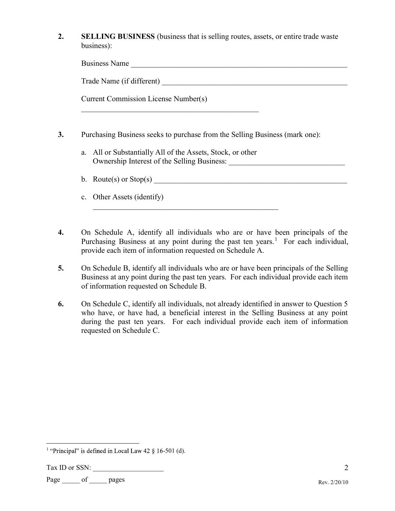**2. SELLING BUSINESS** (business that is selling routes, assets, or entire trade waste business):

| $\mathbf{r}$<br>Business<br>alii U |  |
|------------------------------------|--|
|                                    |  |

Trade Name (if different)

| <b>Current Commission License Number(s)</b> |
|---------------------------------------------|
|                                             |

- **3.** Purchasing Business seeks to purchase from the Selling Business (mark one):
	- a. All or Substantially All of the Assets, Stock, or other Ownership Interest of the Selling Business: \_\_\_\_\_\_\_\_\_\_\_\_\_\_\_\_\_\_\_\_\_\_\_\_\_\_\_\_\_\_
	- b. Route(s) or  $Stop(s)$
	- c. Other Assets (identify)
- **4.** On Schedule A, identify all individuals who are or have been principals of the Purchasing Business at any point during the past ten years.<sup>1</sup> For each individual, provide each item of information requested on Schedule A.
- **5.** On Schedule B, identify all individuals who are or have been principals of the Selling Business at any point during the past ten years. For each individual provide each item of information requested on Schedule B.
- **6.** On Schedule C, identify all individuals, not already identified in answer to Question 5 who have, or have had, a beneficial interest in the Selling Business at any point during the past ten years. For each individual provide each item of information requested on Schedule C.

<sup>&</sup>lt;sup>1</sup> "Principal" is defined in Local Law  $42 \xi$  16-501 (d).

Tax ID or SSN: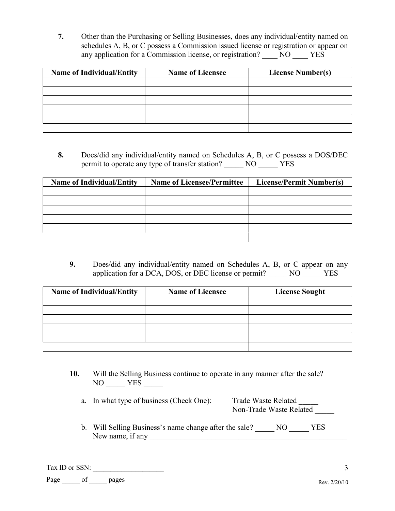**7.** Other than the Purchasing or Selling Businesses, does any individual/entity named on schedules A, B, or C possess a Commission issued license or registration or appear on any application for a Commission license, or registration? NO YES

| <b>Name of Individual/Entity</b> | <b>Name of Licensee</b> | <b>License Number(s)</b> |
|----------------------------------|-------------------------|--------------------------|
|                                  |                         |                          |
|                                  |                         |                          |
|                                  |                         |                          |
|                                  |                         |                          |
|                                  |                         |                          |
|                                  |                         |                          |

**8.** Does/did any individual/entity named on Schedules A, B, or C possess a DOS/DEC permit to operate any type of transfer station? NO YES

| <b>Name of Individual/Entity</b> | <b>Name of Licensee/Permittee</b> | <b>License/Permit Number(s)</b> |
|----------------------------------|-----------------------------------|---------------------------------|
|                                  |                                   |                                 |
|                                  |                                   |                                 |
|                                  |                                   |                                 |
|                                  |                                   |                                 |
|                                  |                                   |                                 |
|                                  |                                   |                                 |

**9.** Does/did any individual/entity named on Schedules A, B, or C appear on any application for a DCA, DOS, or DEC license or permit? \_\_\_\_\_ NO \_\_\_\_\_ YES

| <b>Name of Individual/Entity</b> | <b>Name of Licensee</b> | <b>License Sought</b> |
|----------------------------------|-------------------------|-----------------------|
|                                  |                         |                       |
|                                  |                         |                       |
|                                  |                         |                       |
|                                  |                         |                       |
|                                  |                         |                       |
|                                  |                         |                       |

**10.** Will the Selling Business continue to operate in any manner after the sale? NO YES

| a. In what type of business (Check One): | Trade Waste Related     |
|------------------------------------------|-------------------------|
|                                          | Non-Trade Waste Related |

b. Will Selling Business's name change after the sale? \_\_\_\_\_\_ NO \_\_\_\_\_\_ YES New name, if any \_\_\_\_\_\_\_\_\_\_\_\_\_\_\_\_\_\_\_\_\_\_\_\_\_\_\_\_\_\_\_\_\_\_\_\_\_\_\_\_\_\_\_\_\_\_\_\_\_\_\_

Tax ID or SSN: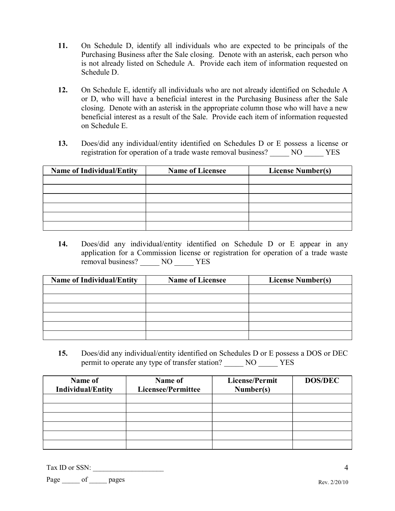- **11.** On Schedule D, identify all individuals who are expected to be principals of the Purchasing Business after the Sale closing. Denote with an asterisk, each person who is not already listed on Schedule A. Provide each item of information requested on Schedule D.
- **12.** On Schedule E, identify all individuals who are not already identified on Schedule A or D, who will have a beneficial interest in the Purchasing Business after the Sale closing. Denote with an asterisk in the appropriate column those who will have a new beneficial interest as a result of the Sale. Provide each item of information requested on Schedule E.
- **13.** Does/did any individual/entity identified on Schedules D or E possess a license or registration for operation of a trade waste removal business? \_\_\_\_\_ NO \_\_\_\_\_ YES

| <b>Name of Individual/Entity</b> | <b>Name of Licensee</b> | <b>License Number(s)</b> |
|----------------------------------|-------------------------|--------------------------|
|                                  |                         |                          |
|                                  |                         |                          |
|                                  |                         |                          |
|                                  |                         |                          |
|                                  |                         |                          |
|                                  |                         |                          |

**14.** Does/did any individual/entity identified on Schedule D or E appear in any application for a Commission license or registration for operation of a trade waste removal business? \_\_\_\_\_ NO \_\_\_\_\_ YES

| <b>Name of Individual/Entity</b> | <b>Name of Licensee</b> | <b>License Number(s)</b> |
|----------------------------------|-------------------------|--------------------------|
|                                  |                         |                          |
|                                  |                         |                          |
|                                  |                         |                          |
|                                  |                         |                          |
|                                  |                         |                          |
|                                  |                         |                          |

**15.** Does/did any individual/entity identified on Schedules D or E possess a DOS or DEC permit to operate any type of transfer station? \_\_\_\_\_ NO \_\_\_\_\_ YES

| Name of<br><b>Individual/Entity</b> | Name of<br><b>Licensee/Permittee</b> | <b>License/Permit</b><br>Number(s) | <b>DOS/DEC</b> |
|-------------------------------------|--------------------------------------|------------------------------------|----------------|
|                                     |                                      |                                    |                |
|                                     |                                      |                                    |                |
|                                     |                                      |                                    |                |
|                                     |                                      |                                    |                |
|                                     |                                      |                                    |                |
|                                     |                                      |                                    |                |

Tax ID or SSN: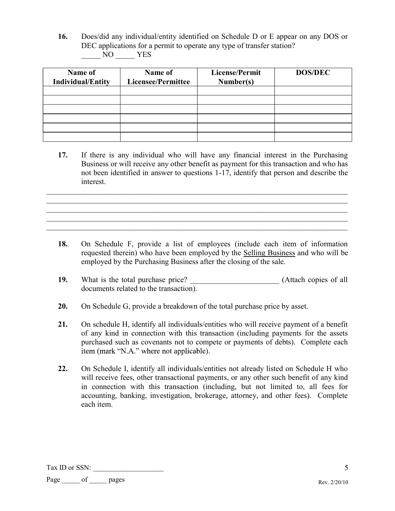**16.** Does/did any individual/entity identified on Schedule D or E appear on any DOS or DEC applications for a permit to operate any type of transfer station? \_\_\_\_\_ NO \_\_\_\_\_ YES

| Name of<br><b>Individual/Entity</b> | Name of<br><b>Licensee/Permittee</b> | License/Permit<br>Number(s) | <b>DOS/DEC</b> |
|-------------------------------------|--------------------------------------|-----------------------------|----------------|
|                                     |                                      |                             |                |
|                                     |                                      |                             |                |
|                                     |                                      |                             |                |
|                                     |                                      |                             |                |
|                                     |                                      |                             |                |
|                                     |                                      |                             |                |

**17.** If there is any individual who will have any financial interest in the Purchasing Business or will receive any other benefit as payment for this transaction and who has not been identified in answer to questions 1-17, identify that person and describe the interest.

 $\_$  , and the contribution of the contribution of the contribution of the contribution of  $\mathcal{L}_\text{max}$ 

- **18.** On Schedule F, provide a list of employees (include each item of information requested therein) who have been employed by the Selling Business and who will be employed by the Purchasing Business after the closing of the sale.
- 19. What is the total purchase price? **Attach copies of all** documents related to the transaction).
- **20.** On Schedule G, provide a breakdown of the total purchase price by asset.
- **21.** On schedule H, identify all individuals/entities who will receive payment of a benefit of any kind in connection with this transaction (including payments for the assets purchased such as covenants not to compete or payments of debts). Complete each item (mark "N.A." where not applicable).
- **22.** On Schedule I, identify all individuals/entities not already listed on Schedule H who will receive fees, other transactional payments, or any other such benefit of any kind in connection with this transaction (including, but not limited to, all fees for accounting, banking, investigation, brokerage, attorney, and other fees). Complete each item.

Tax ID or SSN: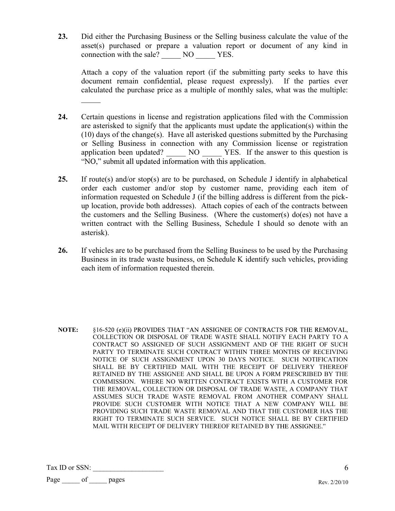**23.** Did either the Purchasing Business or the Selling business calculate the value of the asset(s) purchased or prepare a valuation report or document of any kind in connection with the sale?  $\overline{N}$  NO  $\overline{Y}$  YES.

Attach a copy of the valuation report (if the submitting party seeks to have this document remain confidential, please request expressly). If the parties ever calculated the purchase price as a multiple of monthly sales, what was the multiple:

- **24.** Certain questions in license and registration applications filed with the Commission are asterisked to signify that the applicants must update the application(s) within the (10) days of the change(s). Have all asterisked questions submitted by the Purchasing or Selling Business in connection with any Commission license or registration application been updated? NO YES. If the answer to this question is "NO," submit all updated information with this application.
- **25.** If route(s) and/or stop(s) are to be purchased, on Schedule J identify in alphabetical order each customer and/or stop by customer name, providing each item of information requested on Schedule J (if the billing address is different from the pickup location, provide both addresses). Attach copies of each of the contracts between the customers and the Selling Business. (Where the customer(s) do(es) not have a written contract with the Selling Business, Schedule I should so denote with an asterisk).
- **26.** If vehicles are to be purchased from the Selling Business to be used by the Purchasing Business in its trade waste business, on Schedule K identify such vehicles, providing each item of information requested therein.

**NOTE:** §16-520 (e)(ii) PROVIDES THAT "AN ASSIGNEE OF CONTRACTS FOR THE REMOVAL, COLLECTION OR DISPOSAL OF TRADE WASTE SHALL NOTIFY EACH PARTY TO A CONTRACT SO ASSIGNED OF SUCH ASSIGNMENT AND OF THE RIGHT OF SUCH PARTY TO TERMINATE SUCH CONTRACT WITHIN THREE MONTHS OF RECEIVING NOTICE OF SUCH ASSIGNMENT UPON 30 DAYS NOTICE. SUCH NOTIFICATION SHALL BE BY CERTIFIED MAIL WITH THE RECEIPT OF DELIVERY THEREOF RETAINED BY THE ASSIGNEE AND SHALL BE UPON A FORM PRESCRIBED BY THE COMMISSION. WHERE NO WRITTEN CONTRACT EXISTS WITH A CUSTOMER FOR THE REMOVAL, COLLECTION OR DISPOSAL OF TRADE WASTE, A COMPANY THAT ASSUMES SUCH TRADE WASTE REMOVAL FROM ANOTHER COMPANY SHALL PROVIDE SUCH CUSTOMER WITH NOTICE THAT A NEW COMPANY WILL BE PROVIDING SUCH TRADE WASTE REMOVAL AND THAT THE CUSTOMER HAS THE RIGHT TO TERMINATE SUCH SERVICE. SUCH NOTICE SHALL BE BY CERTIFIED MAIL WITH RECEIPT OF DELIVERY THEREOF RETAINED BY THE ASSIGNEE."

Tax ID or SSN: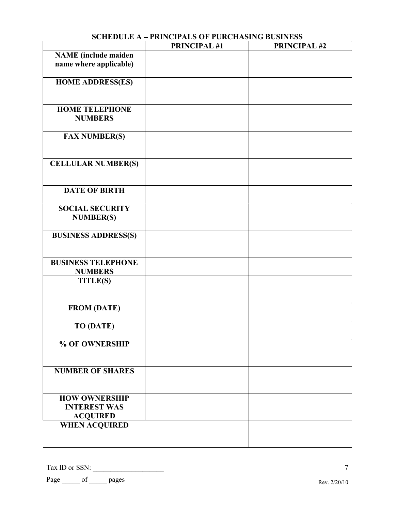|                                                                | <b>PRINCIPAL #1</b> | <b>PRINCIPAL #2</b> |
|----------------------------------------------------------------|---------------------|---------------------|
| <b>NAME</b> (include maiden<br>name where applicable)          |                     |                     |
| <b>HOME ADDRESS(ES)</b>                                        |                     |                     |
| <b>HOME TELEPHONE</b><br><b>NUMBERS</b>                        |                     |                     |
| <b>FAX NUMBER(S)</b>                                           |                     |                     |
| <b>CELLULAR NUMBER(S)</b>                                      |                     |                     |
| <b>DATE OF BIRTH</b>                                           |                     |                     |
| <b>SOCIAL SECURITY</b><br><b>NUMBER(S)</b>                     |                     |                     |
| <b>BUSINESS ADDRESS(S)</b>                                     |                     |                     |
| <b>BUSINESS TELEPHONE</b><br><b>NUMBERS</b>                    |                     |                     |
| <b>TITLE(S)</b>                                                |                     |                     |
| <b>FROM (DATE)</b>                                             |                     |                     |
| <b>TO (DATE)</b>                                               |                     |                     |
| % OF OWNERSHIP                                                 |                     |                     |
| <b>NUMBER OF SHARES</b>                                        |                     |                     |
| <b>HOW OWNERSHIP</b><br><b>INTEREST WAS</b><br><b>ACQUIRED</b> |                     |                     |
| <b>WHEN ACQUIRED</b>                                           |                     |                     |

# **SCHEDULE A - PRINCIPALS OF PURCHASING BUSINESS**

Tax ID or SSN: \_\_\_\_\_\_\_\_\_\_\_\_\_\_\_\_\_\_\_\_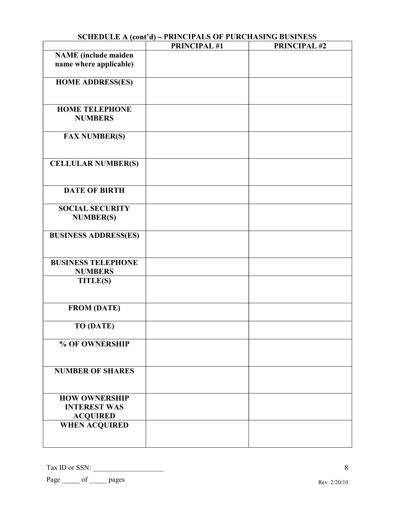|                                             | <b>PRINCIPAL #1</b> | PRINCIPAL #2 |
|---------------------------------------------|---------------------|--------------|
| <b>NAME</b> (include maiden                 |                     |              |
| name where applicable)                      |                     |              |
|                                             |                     |              |
| <b>HOME ADDRESS(ES)</b>                     |                     |              |
|                                             |                     |              |
| <b>HOME TELEPHONE</b>                       |                     |              |
| <b>NUMBERS</b>                              |                     |              |
|                                             |                     |              |
| <b>FAX NUMBER(S)</b>                        |                     |              |
|                                             |                     |              |
|                                             |                     |              |
| <b>CELLULAR NUMBER(S)</b>                   |                     |              |
|                                             |                     |              |
|                                             |                     |              |
| <b>DATE OF BIRTH</b>                        |                     |              |
| <b>SOCIAL SECURITY</b>                      |                     |              |
| <b>NUMBER(S)</b>                            |                     |              |
|                                             |                     |              |
| <b>BUSINESS ADDRESS(ES)</b>                 |                     |              |
|                                             |                     |              |
|                                             |                     |              |
| <b>BUSINESS TELEPHONE</b><br><b>NUMBERS</b> |                     |              |
| <b>TITLE(S)</b>                             |                     |              |
|                                             |                     |              |
|                                             |                     |              |
| <b>FROM (DATE)</b>                          |                     |              |
|                                             |                     |              |
| <b>TO (DATE)</b>                            |                     |              |
| % OF OWNERSHIP                              |                     |              |
|                                             |                     |              |
|                                             |                     |              |
| <b>NUMBER OF SHARES</b>                     |                     |              |
|                                             |                     |              |
|                                             |                     |              |
| <b>HOW OWNERSHIP</b>                        |                     |              |
| <b>INTEREST WAS</b><br><b>ACQUIRED</b>      |                     |              |
| <b>WHEN ACQUIRED</b>                        |                     |              |
|                                             |                     |              |
|                                             |                     |              |

# **SCHEDULE A (cont'd) – PRINCIPALS OF PURCHASING BUSINESS**

Tax ID or SSN: \_\_\_\_\_\_\_\_\_\_\_\_\_\_\_\_\_\_\_\_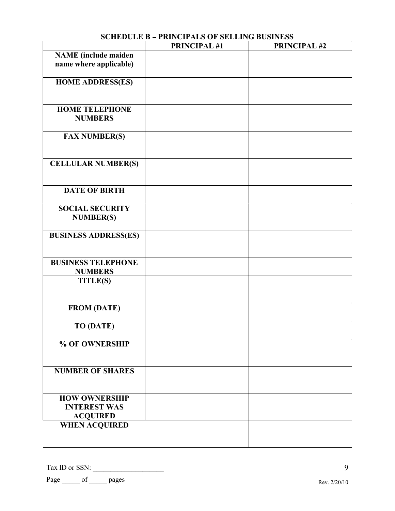|                                                                | <b>PRINCIPAL #1</b> | <b>PRINCIPAL #2</b> |
|----------------------------------------------------------------|---------------------|---------------------|
| <b>NAME</b> (include maiden<br>name where applicable)          |                     |                     |
| <b>HOME ADDRESS(ES)</b>                                        |                     |                     |
| <b>HOME TELEPHONE</b><br><b>NUMBERS</b>                        |                     |                     |
| <b>FAX NUMBER(S)</b>                                           |                     |                     |
| <b>CELLULAR NUMBER(S)</b>                                      |                     |                     |
| <b>DATE OF BIRTH</b>                                           |                     |                     |
| <b>SOCIAL SECURITY</b><br><b>NUMBER(S)</b>                     |                     |                     |
| <b>BUSINESS ADDRESS(ES)</b>                                    |                     |                     |
| <b>BUSINESS TELEPHONE</b><br><b>NUMBERS</b>                    |                     |                     |
| <b>TITLE(S)</b>                                                |                     |                     |
| <b>FROM (DATE)</b>                                             |                     |                     |
| <b>TO (DATE)</b>                                               |                     |                     |
| % OF OWNERSHIP                                                 |                     |                     |
| <b>NUMBER OF SHARES</b>                                        |                     |                     |
| <b>HOW OWNERSHIP</b><br><b>INTEREST WAS</b><br><b>ACQUIRED</b> |                     |                     |
| <b>WHEN ACQUIRED</b>                                           |                     |                     |

## **SCHEDULE B - PRINCIPALS OF SELLING BUSINESS**

Tax ID or SSN: \_\_\_\_\_\_\_\_\_\_\_\_\_\_\_\_\_\_\_\_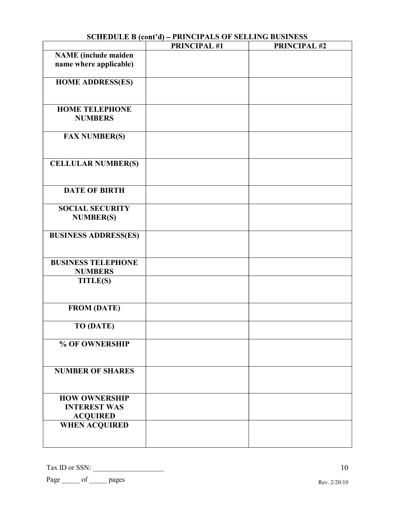|                                                                | <b>PRINCIPAL #1</b> | <b>PRINCIPAL #2</b> |
|----------------------------------------------------------------|---------------------|---------------------|
| <b>NAME</b> (include maiden<br>name where applicable)          |                     |                     |
| <b>HOME ADDRESS(ES)</b>                                        |                     |                     |
| <b>HOME TELEPHONE</b><br><b>NUMBERS</b>                        |                     |                     |
| <b>FAX NUMBER(S)</b>                                           |                     |                     |
| <b>CELLULAR NUMBER(S)</b>                                      |                     |                     |
| <b>DATE OF BIRTH</b>                                           |                     |                     |
| <b>SOCIAL SECURITY</b><br><b>NUMBER(S)</b>                     |                     |                     |
| <b>BUSINESS ADDRESS(ES)</b>                                    |                     |                     |
| <b>BUSINESS TELEPHONE</b><br><b>NUMBERS</b>                    |                     |                     |
| <b>TITLE(S)</b>                                                |                     |                     |
| <b>FROM (DATE)</b>                                             |                     |                     |
| <b>TO (DATE)</b>                                               |                     |                     |
| % OF OWNERSHIP                                                 |                     |                     |
| <b>NUMBER OF SHARES</b>                                        |                     |                     |
| <b>HOW OWNERSHIP</b><br><b>INTEREST WAS</b><br><b>ACQUIRED</b> |                     |                     |
| <b>WHEN ACQUIRED</b>                                           |                     |                     |

## **SCHEDULE B (cont'd) – PRINCIPALS OF SELLING BUSINESS**

Tax ID or SSN: \_\_\_\_\_\_\_\_\_\_\_\_\_\_\_\_\_\_\_\_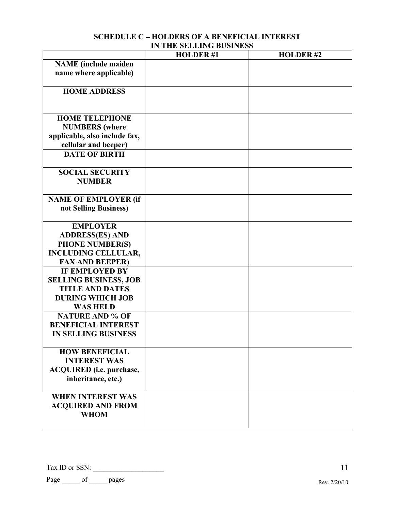|                                 | <b>HOLDER#1</b> | <b>HOLDER#2</b> |
|---------------------------------|-----------------|-----------------|
| <b>NAME</b> (include maiden     |                 |                 |
| name where applicable)          |                 |                 |
|                                 |                 |                 |
| <b>HOME ADDRESS</b>             |                 |                 |
|                                 |                 |                 |
|                                 |                 |                 |
| <b>HOME TELEPHONE</b>           |                 |                 |
| <b>NUMBERS</b> (where           |                 |                 |
| applicable, also include fax,   |                 |                 |
| cellular and beeper)            |                 |                 |
| <b>DATE OF BIRTH</b>            |                 |                 |
|                                 |                 |                 |
| <b>SOCIAL SECURITY</b>          |                 |                 |
| <b>NUMBER</b>                   |                 |                 |
|                                 |                 |                 |
| <b>NAME OF EMPLOYER (if</b>     |                 |                 |
| not Selling Business)           |                 |                 |
|                                 |                 |                 |
| <b>EMPLOYER</b>                 |                 |                 |
| <b>ADDRESS(ES) AND</b>          |                 |                 |
| <b>PHONE NUMBER(S)</b>          |                 |                 |
| <b>INCLUDING CELLULAR,</b>      |                 |                 |
| <b>FAX AND BEEPER)</b>          |                 |                 |
| <b>IF EMPLOYED BY</b>           |                 |                 |
| <b>SELLING BUSINESS, JOB</b>    |                 |                 |
| <b>TITLE AND DATES</b>          |                 |                 |
| <b>DURING WHICH JOB</b>         |                 |                 |
| <b>WAS HELD</b>                 |                 |                 |
| <b>NATURE AND % OF</b>          |                 |                 |
| <b>BENEFICIAL INTEREST</b>      |                 |                 |
| <b>IN SELLING BUSINESS</b>      |                 |                 |
|                                 |                 |                 |
| <b>HOW BENEFICIAL</b>           |                 |                 |
| <b>INTEREST WAS</b>             |                 |                 |
| <b>ACQUIRED</b> (i.e. purchase, |                 |                 |
| inheritance, etc.)              |                 |                 |
|                                 |                 |                 |
| <b>WHEN INTEREST WAS</b>        |                 |                 |
| <b>ACQUIRED AND FROM</b>        |                 |                 |
| <b>WHOM</b>                     |                 |                 |
|                                 |                 |                 |

### **SCHEDULE C - HOLDERS OF A BENEFICIAL INTEREST IN THE SELLING BUSINESS**

Tax ID or SSN: \_\_\_\_\_\_\_\_\_\_\_\_\_\_\_\_\_\_\_\_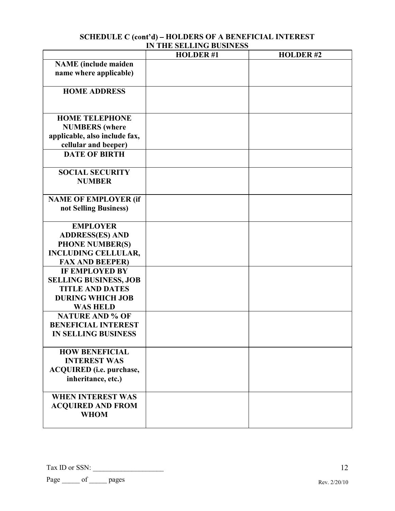| SCHEDULE C (cont'd) – HOLDERS OF A BENEFICIAL INTEREST |
|--------------------------------------------------------|
| IN THE SELLING BUSINESS                                |

|                                 | <b>HOLDER#1</b> | <b>HOLDER#2</b> |
|---------------------------------|-----------------|-----------------|
| <b>NAME</b> (include maiden     |                 |                 |
| name where applicable)          |                 |                 |
|                                 |                 |                 |
| <b>HOME ADDRESS</b>             |                 |                 |
|                                 |                 |                 |
|                                 |                 |                 |
| <b>HOME TELEPHONE</b>           |                 |                 |
| <b>NUMBERS</b> (where           |                 |                 |
| applicable, also include fax,   |                 |                 |
| cellular and beeper)            |                 |                 |
| <b>DATE OF BIRTH</b>            |                 |                 |
|                                 |                 |                 |
| <b>SOCIAL SECURITY</b>          |                 |                 |
| <b>NUMBER</b>                   |                 |                 |
|                                 |                 |                 |
| <b>NAME OF EMPLOYER (if</b>     |                 |                 |
| not Selling Business)           |                 |                 |
|                                 |                 |                 |
| <b>EMPLOYER</b>                 |                 |                 |
| <b>ADDRESS(ES) AND</b>          |                 |                 |
| <b>PHONE NUMBER(S)</b>          |                 |                 |
| <b>INCLUDING CELLULAR,</b>      |                 |                 |
| <b>FAX AND BEEPER)</b>          |                 |                 |
| <b>IF EMPLOYED BY</b>           |                 |                 |
| <b>SELLING BUSINESS, JOB</b>    |                 |                 |
| <b>TITLE AND DATES</b>          |                 |                 |
| <b>DURING WHICH JOB</b>         |                 |                 |
| <b>WAS HELD</b>                 |                 |                 |
| <b>NATURE AND % OF</b>          |                 |                 |
| <b>BENEFICIAL INTEREST</b>      |                 |                 |
| <b>IN SELLING BUSINESS</b>      |                 |                 |
|                                 |                 |                 |
| <b>HOW BENEFICIAL</b>           |                 |                 |
| <b>INTEREST WAS</b>             |                 |                 |
| <b>ACQUIRED</b> (i.e. purchase, |                 |                 |
| inheritance, etc.)              |                 |                 |
| <b>WHEN INTEREST WAS</b>        |                 |                 |
|                                 |                 |                 |
| <b>ACQUIRED AND FROM</b>        |                 |                 |
| <b>WHOM</b>                     |                 |                 |
|                                 |                 |                 |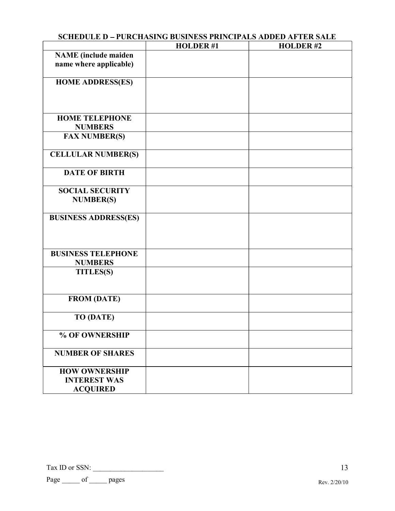|                                                                | SCHEDULE D – FURCHASING BUSINESS FRINCIPALS ADDED AFTER SALE |                 |
|----------------------------------------------------------------|--------------------------------------------------------------|-----------------|
|                                                                | <b>HOLDER#1</b>                                              | <b>HOLDER#2</b> |
| <b>NAME</b> (include maiden<br>name where applicable)          |                                                              |                 |
| <b>HOME ADDRESS(ES)</b>                                        |                                                              |                 |
| <b>HOME TELEPHONE</b><br><b>NUMBERS</b>                        |                                                              |                 |
| <b>FAX NUMBER(S)</b>                                           |                                                              |                 |
| <b>CELLULAR NUMBER(S)</b>                                      |                                                              |                 |
| <b>DATE OF BIRTH</b>                                           |                                                              |                 |
| <b>SOCIAL SECURITY</b><br><b>NUMBER(S)</b>                     |                                                              |                 |
| <b>BUSINESS ADDRESS(ES)</b>                                    |                                                              |                 |
| <b>BUSINESS TELEPHONE</b><br><b>NUMBERS</b>                    |                                                              |                 |
| <b>TITLES(S)</b>                                               |                                                              |                 |
| <b>FROM (DATE)</b>                                             |                                                              |                 |
| <b>TO (DATE)</b>                                               |                                                              |                 |
| % OF OWNERSHIP                                                 |                                                              |                 |
| <b>NUMBER OF SHARES</b>                                        |                                                              |                 |
| <b>HOW OWNERSHIP</b><br><b>INTEREST WAS</b><br><b>ACQUIRED</b> |                                                              |                 |

# **SCHEDULE D PURCHASING BUSINESS PRINCIPALS ADDED AFTER SALE**

Tax ID or SSN: \_\_\_\_\_\_\_\_\_\_\_\_\_\_\_\_\_\_\_\_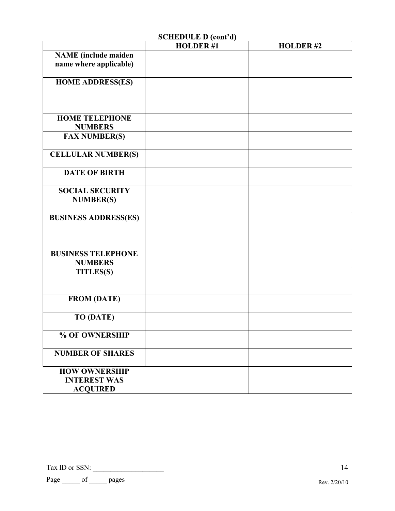|                             | SCIIEDULE D (tuit u) |                 |
|-----------------------------|----------------------|-----------------|
|                             | <b>HOLDER#1</b>      | <b>HOLDER#2</b> |
| <b>NAME</b> (include maiden |                      |                 |
| name where applicable)      |                      |                 |
|                             |                      |                 |
| <b>HOME ADDRESS(ES)</b>     |                      |                 |
|                             |                      |                 |
|                             |                      |                 |
|                             |                      |                 |
|                             |                      |                 |
| <b>HOME TELEPHONE</b>       |                      |                 |
| <b>NUMBERS</b>              |                      |                 |
| <b>FAX NUMBER(S)</b>        |                      |                 |
|                             |                      |                 |
| <b>CELLULAR NUMBER(S)</b>   |                      |                 |
|                             |                      |                 |
|                             |                      |                 |
| <b>DATE OF BIRTH</b>        |                      |                 |
|                             |                      |                 |
| <b>SOCIAL SECURITY</b>      |                      |                 |
| <b>NUMBER(S)</b>            |                      |                 |
|                             |                      |                 |
| <b>BUSINESS ADDRESS(ES)</b> |                      |                 |
|                             |                      |                 |
|                             |                      |                 |
|                             |                      |                 |
|                             |                      |                 |
| <b>BUSINESS TELEPHONE</b>   |                      |                 |
| <b>NUMBERS</b>              |                      |                 |
| <b>TITLES(S)</b>            |                      |                 |
|                             |                      |                 |
|                             |                      |                 |
| <b>FROM (DATE)</b>          |                      |                 |
|                             |                      |                 |
|                             |                      |                 |
| <b>TO (DATE)</b>            |                      |                 |
|                             |                      |                 |
| % OF OWNERSHIP              |                      |                 |
|                             |                      |                 |
| <b>NUMBER OF SHARES</b>     |                      |                 |
|                             |                      |                 |
| <b>HOW OWNERSHIP</b>        |                      |                 |
|                             |                      |                 |
| <b>INTEREST WAS</b>         |                      |                 |
| <b>ACQUIRED</b>             |                      |                 |

 $SCHEDIILE D (cont'd)$ 

Tax ID or SSN: \_\_\_\_\_\_\_\_\_\_\_\_\_\_\_\_\_\_\_\_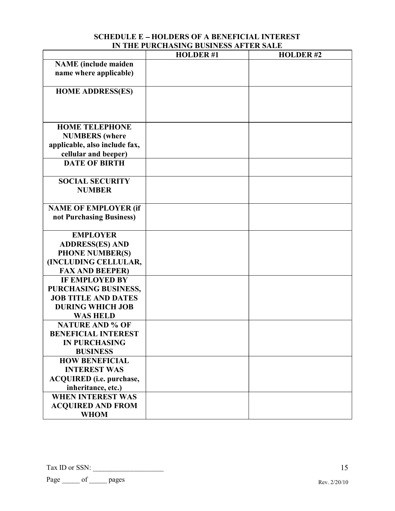## **SCHEDULE E - HOLDERS OF A BENEFICIAL INTEREST IN THE PURCHASING BUSINESS AFTER SALE**

|                                 | <b>HOLDER#1</b> | <b>HOLDER#2</b> |
|---------------------------------|-----------------|-----------------|
| <b>NAME</b> (include maiden     |                 |                 |
| name where applicable)          |                 |                 |
|                                 |                 |                 |
| <b>HOME ADDRESS(ES)</b>         |                 |                 |
|                                 |                 |                 |
|                                 |                 |                 |
|                                 |                 |                 |
| <b>HOME TELEPHONE</b>           |                 |                 |
| <b>NUMBERS</b> (where           |                 |                 |
| applicable, also include fax,   |                 |                 |
| cellular and beeper)            |                 |                 |
| <b>DATE OF BIRTH</b>            |                 |                 |
| <b>SOCIAL SECURITY</b>          |                 |                 |
| <b>NUMBER</b>                   |                 |                 |
|                                 |                 |                 |
| <b>NAME OF EMPLOYER (if</b>     |                 |                 |
| not Purchasing Business)        |                 |                 |
|                                 |                 |                 |
| <b>EMPLOYER</b>                 |                 |                 |
| <b>ADDRESS(ES) AND</b>          |                 |                 |
| <b>PHONE NUMBER(S)</b>          |                 |                 |
| (INCLUDING CELLULAR,            |                 |                 |
| <b>FAX AND BEEPER)</b>          |                 |                 |
| <b>IF EMPLOYED BY</b>           |                 |                 |
| PURCHASING BUSINESS,            |                 |                 |
| <b>JOB TITLE AND DATES</b>      |                 |                 |
| <b>DURING WHICH JOB</b>         |                 |                 |
| <b>WAS HELD</b>                 |                 |                 |
| <b>NATURE AND % OF</b>          |                 |                 |
| <b>BENEFICIAL INTEREST</b>      |                 |                 |
| <b>IN PURCHASING</b>            |                 |                 |
| <b>BUSINESS</b>                 |                 |                 |
| <b>HOW BENEFICIAL</b>           |                 |                 |
| <b>INTEREST WAS</b>             |                 |                 |
| <b>ACQUIRED</b> (i.e. purchase, |                 |                 |
| inheritance, etc.)              |                 |                 |
| <b>WHEN INTEREST WAS</b>        |                 |                 |
| <b>ACQUIRED AND FROM</b>        |                 |                 |
| <b>WHOM</b>                     |                 |                 |

Tax ID or SSN: \_\_\_\_\_\_\_\_\_\_\_\_\_\_\_\_\_\_\_\_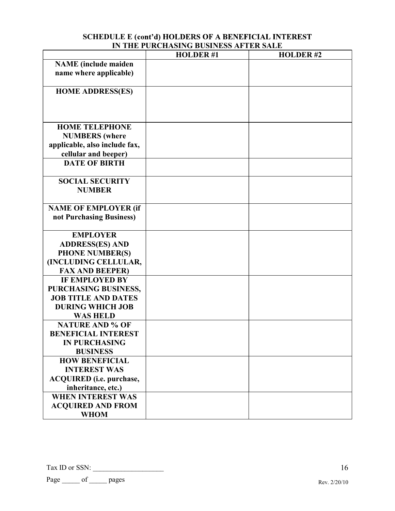| SCHEDULE E (cont'd) HOLDERS OF A BENEFICIAL INTEREST |
|------------------------------------------------------|
| IN THE PURCHASING BUSINESS AFTER SALE                |

|                                 | <b>HOLDER#1</b> | <b>HOLDER#2</b> |
|---------------------------------|-----------------|-----------------|
| <b>NAME</b> (include maiden     |                 |                 |
| name where applicable)          |                 |                 |
|                                 |                 |                 |
| <b>HOME ADDRESS(ES)</b>         |                 |                 |
|                                 |                 |                 |
|                                 |                 |                 |
|                                 |                 |                 |
| <b>HOME TELEPHONE</b>           |                 |                 |
| <b>NUMBERS</b> (where           |                 |                 |
| applicable, also include fax,   |                 |                 |
| cellular and beeper)            |                 |                 |
| <b>DATE OF BIRTH</b>            |                 |                 |
| <b>SOCIAL SECURITY</b>          |                 |                 |
| <b>NUMBER</b>                   |                 |                 |
|                                 |                 |                 |
| <b>NAME OF EMPLOYER (if</b>     |                 |                 |
| not Purchasing Business)        |                 |                 |
|                                 |                 |                 |
| <b>EMPLOYER</b>                 |                 |                 |
| <b>ADDRESS(ES) AND</b>          |                 |                 |
| <b>PHONE NUMBER(S)</b>          |                 |                 |
| (INCLUDING CELLULAR,            |                 |                 |
| <b>FAX AND BEEPER)</b>          |                 |                 |
| <b>IF EMPLOYED BY</b>           |                 |                 |
| PURCHASING BUSINESS,            |                 |                 |
| <b>JOB TITLE AND DATES</b>      |                 |                 |
| <b>DURING WHICH JOB</b>         |                 |                 |
| <b>WAS HELD</b>                 |                 |                 |
| <b>NATURE AND % OF</b>          |                 |                 |
| <b>BENEFICIAL INTEREST</b>      |                 |                 |
| <b>IN PURCHASING</b>            |                 |                 |
| <b>BUSINESS</b>                 |                 |                 |
| <b>HOW BENEFICIAL</b>           |                 |                 |
| <b>INTEREST WAS</b>             |                 |                 |
| <b>ACQUIRED</b> (i.e. purchase, |                 |                 |
| inheritance, etc.)              |                 |                 |
| <b>WHEN INTEREST WAS</b>        |                 |                 |
| <b>ACQUIRED AND FROM</b>        |                 |                 |
| <b>WHOM</b>                     |                 |                 |

Tax ID or SSN: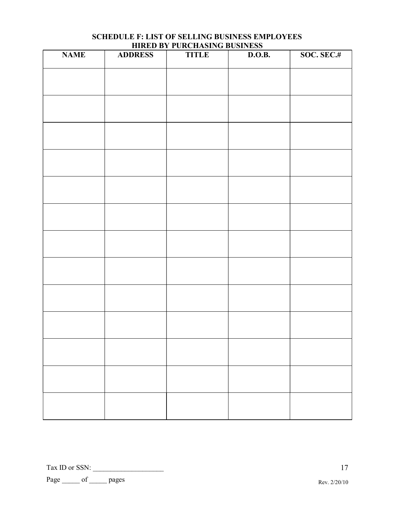| <b>NAME</b> | <b>ADDRESS</b> | <b>TITLE</b> | D.O.B. | SOC. SEC.# |
|-------------|----------------|--------------|--------|------------|
|             |                |              |        |            |
|             |                |              |        |            |
|             |                |              |        |            |
|             |                |              |        |            |
|             |                |              |        |            |
|             |                |              |        |            |
|             |                |              |        |            |
|             |                |              |        |            |
|             |                |              |        |            |
|             |                |              |        |            |
|             |                |              |        |            |
|             |                |              |        |            |
|             |                |              |        |            |

### **SCHEDULE F: LIST OF SELLING BUSINESS EMPLOYEES HIRED BY PURCHASING BUSINESS**

Tax ID or SSN: \_\_\_\_\_\_\_\_\_\_\_\_\_\_\_\_\_\_\_\_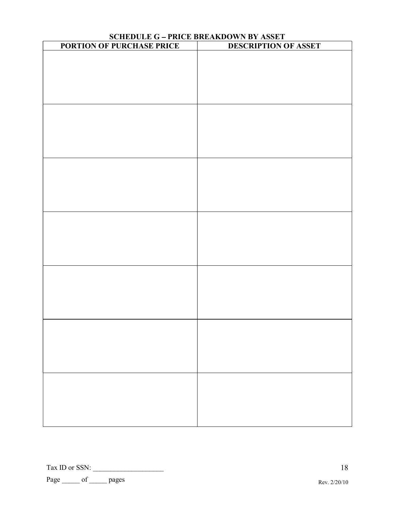| SCHEDULE G – PRICE BREAKDOWN BY ASSET<br>PORTION OF PURCHASE PRICE DESCRIPTION OF |                             |  |  |  |  |  |
|-----------------------------------------------------------------------------------|-----------------------------|--|--|--|--|--|
|                                                                                   | <b>DESCRIPTION OF ASSET</b> |  |  |  |  |  |
|                                                                                   |                             |  |  |  |  |  |
|                                                                                   |                             |  |  |  |  |  |
|                                                                                   |                             |  |  |  |  |  |
|                                                                                   |                             |  |  |  |  |  |
|                                                                                   |                             |  |  |  |  |  |
|                                                                                   |                             |  |  |  |  |  |
|                                                                                   |                             |  |  |  |  |  |
|                                                                                   |                             |  |  |  |  |  |
|                                                                                   |                             |  |  |  |  |  |
|                                                                                   |                             |  |  |  |  |  |
|                                                                                   |                             |  |  |  |  |  |
|                                                                                   |                             |  |  |  |  |  |
|                                                                                   |                             |  |  |  |  |  |
|                                                                                   |                             |  |  |  |  |  |
|                                                                                   |                             |  |  |  |  |  |
|                                                                                   |                             |  |  |  |  |  |
|                                                                                   |                             |  |  |  |  |  |
|                                                                                   |                             |  |  |  |  |  |
|                                                                                   |                             |  |  |  |  |  |
|                                                                                   |                             |  |  |  |  |  |
|                                                                                   |                             |  |  |  |  |  |
|                                                                                   |                             |  |  |  |  |  |
|                                                                                   |                             |  |  |  |  |  |
|                                                                                   |                             |  |  |  |  |  |
|                                                                                   |                             |  |  |  |  |  |
|                                                                                   |                             |  |  |  |  |  |
|                                                                                   |                             |  |  |  |  |  |
|                                                                                   |                             |  |  |  |  |  |
|                                                                                   |                             |  |  |  |  |  |
|                                                                                   |                             |  |  |  |  |  |
|                                                                                   |                             |  |  |  |  |  |
|                                                                                   |                             |  |  |  |  |  |
|                                                                                   |                             |  |  |  |  |  |
|                                                                                   |                             |  |  |  |  |  |
|                                                                                   |                             |  |  |  |  |  |
|                                                                                   |                             |  |  |  |  |  |

Tax ID or SSN: \_\_\_\_\_\_\_\_\_\_\_\_\_\_\_\_\_\_\_\_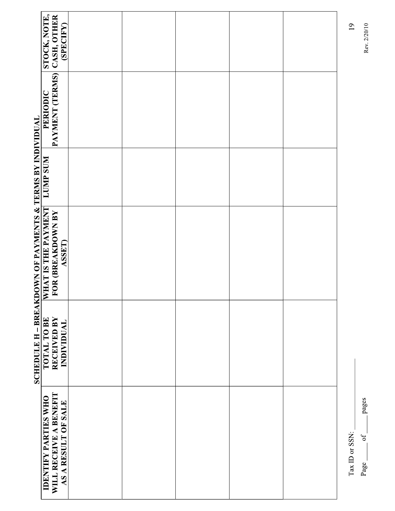|                                                                     | STOCK, NOTE,                                          | (SPECIFY)           |  |  | 19             |
|---------------------------------------------------------------------|-------------------------------------------------------|---------------------|--|--|----------------|
|                                                                     | PAYMENT (TERMS) CASH, OTHER<br>PERIODIC               |                     |  |  |                |
|                                                                     | <b>LUMP SUM</b>                                       |                     |  |  |                |
| <b>SCHEDULE H - BREAKDOWN OF PAYMENTS &amp; TERMS BY INDIVIDUAL</b> | WHAT IS THE PAYMENT<br>FOR (BREAKDOWN BY              | <b>ASSET)</b>       |  |  |                |
|                                                                     | <b>RECEIVED BY</b><br>TOTAL TO BE                     | INDIVIDUAL          |  |  |                |
|                                                                     | WILL RECEIVE A BENEFIT<br><b>IDENTIFY PARTIES WHO</b> | AS A RESULT OF SALE |  |  | Tax ID or SSN: |

pages  $\circ f$ Page\_

Rev. 2/20/10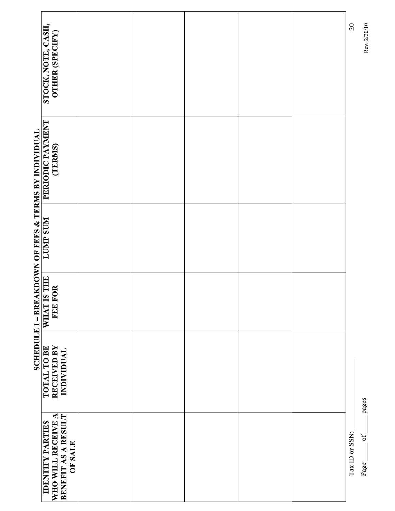| STOCK, NOTE, CASH,<br>OTHER (SPECIFY)                                                  |  |  | $\overline{c}$ | Rev. 2/20/10  |
|----------------------------------------------------------------------------------------|--|--|----------------|---------------|
| PERIODIC PAYMENT<br>(TERMS)                                                            |  |  |                |               |
|                                                                                        |  |  |                |               |
| FOR<br>FEE F                                                                           |  |  |                |               |
| RECEIVED BY<br>INDIVIDUAL                                                              |  |  |                | pages         |
| BENEFIT AS A RESULT<br>WHO WILL RECEIVE A<br><b>IDENTIFY PARTIES</b><br><b>OF SALE</b> |  |  | Tax ID or SSN: | $o$ f<br>Page |

Rev. 2/20/10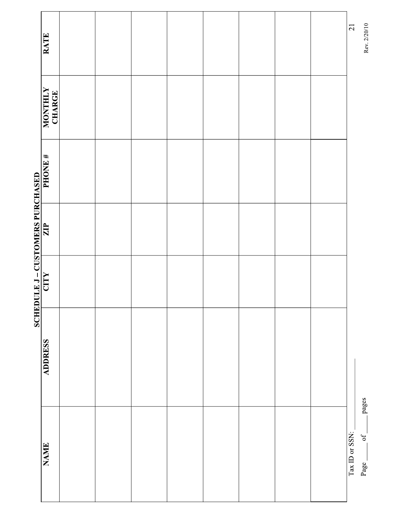| RATE              |  |  |  |  | $\overline{21}$ | Rev. 2/20/10               |
|-------------------|--|--|--|--|-----------------|----------------------------|
| MONTHLY<br>CHARGE |  |  |  |  |                 |                            |
|                   |  |  |  |  |                 |                            |
|                   |  |  |  |  |                 |                            |
|                   |  |  |  |  |                 |                            |
| <b>ADDRESS</b>    |  |  |  |  |                 |                            |
| NAME              |  |  |  |  | Tax ID or SSN:  | pages<br>$\circ$ f<br>Page |

Rev. 2/20/10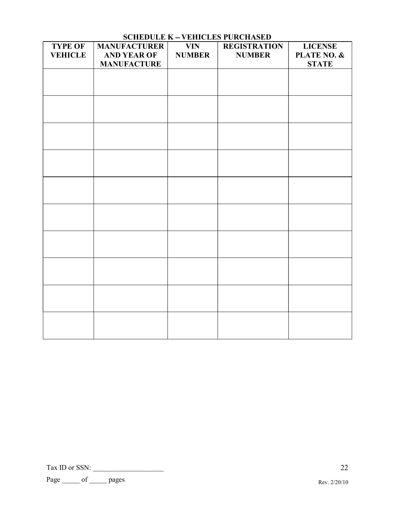| <b>TYPE OF</b> | <b>MANUFACTURER</b>                      | <b>VIN</b>    | <b>REGISTRATION</b> | <b>LICENSE</b>              |
|----------------|------------------------------------------|---------------|---------------------|-----------------------------|
| <b>VEHICLE</b> | <b>AND YEAR OF</b><br><b>MANUFACTURE</b> | <b>NUMBER</b> | <b>NUMBER</b>       | PLATE NO. &<br><b>STATE</b> |
|                |                                          |               |                     |                             |
|                |                                          |               |                     |                             |
|                |                                          |               |                     |                             |
|                |                                          |               |                     |                             |
|                |                                          |               |                     |                             |
|                |                                          |               |                     |                             |
|                |                                          |               |                     |                             |
|                |                                          |               |                     |                             |
|                |                                          |               |                     |                             |
|                |                                          |               |                     |                             |
|                |                                          |               |                     |                             |
|                |                                          |               |                     |                             |
|                |                                          |               |                     |                             |
|                |                                          |               |                     |                             |
|                |                                          |               |                     |                             |
|                |                                          |               |                     |                             |
|                |                                          |               |                     |                             |
|                |                                          |               |                     |                             |
|                |                                          |               |                     |                             |
|                |                                          |               |                     |                             |

## **SCHEDULE K - VEHICLES PURCHASED**

Tax ID or SSN: \_\_\_\_\_\_\_\_\_\_\_\_\_\_\_\_\_\_\_\_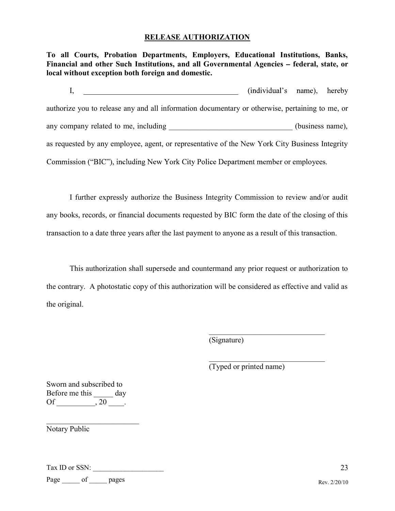### **RELEASE AUTHORIZATION**

**To all Courts, Probation Departments, Employers, Educational Institutions, Banks,**  Financial and other Such Institutions, and all Governmental Agencies - federal, state, or **local without exception both foreign and domestic.** 

I, (individual's name), hereby authorize you to release any and all information documentary or otherwise, pertaining to me, or any company related to me, including \_\_\_\_\_\_\_\_\_\_\_\_\_\_\_\_\_\_\_\_\_\_\_\_\_\_\_\_\_(business name), as requested by any employee, agent, or representative of the New York City Business Integrity Commission ("BIC"), including New York City Police Department member or employees.

 I further expressly authorize the Business Integrity Commission to review and/or audit any books, records, or financial documents requested by BIC form the date of the closing of this transaction to a date three years after the last payment to anyone as a result of this transaction.

 This authorization shall supersede and countermand any prior request or authorization to the contrary. A photostatic copy of this authorization will be considered as effective and valid as the original.

(Signature)

(Typed or printed name)

Sworn and subscribed to Before me this \_\_\_\_\_\_ day Of \_\_\_\_\_\_\_\_\_\_, 20 \_\_\_\_.

Notary Public

Tax ID or SSN: